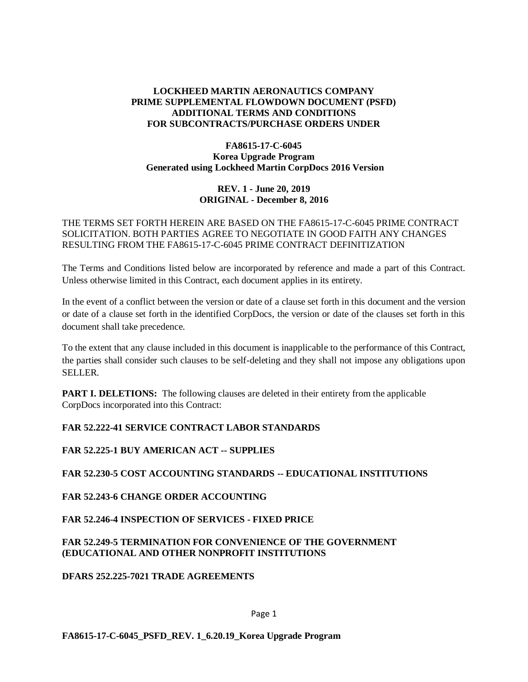# **LOCKHEED MARTIN AERONAUTICS COMPANY PRIME SUPPLEMENTAL FLOWDOWN DOCUMENT (PSFD) ADDITIONAL TERMS AND CONDITIONS FOR SUBCONTRACTS/PURCHASE ORDERS UNDER**

### **FA8615-17-C-6045 Korea Upgrade Program Generated using Lockheed Martin CorpDocs 2016 Version**

## **REV. 1 - June 20, 2019 ORIGINAL - December 8, 2016**

### THE TERMS SET FORTH HEREIN ARE BASED ON THE FA8615-17-C-6045 PRIME CONTRACT SOLICITATION. BOTH PARTIES AGREE TO NEGOTIATE IN GOOD FAITH ANY CHANGES RESULTING FROM THE FA8615-17-C-6045 PRIME CONTRACT DEFINITIZATION

The Terms and Conditions listed below are incorporated by reference and made a part of this Contract. Unless otherwise limited in this Contract, each document applies in its entirety.

In the event of a conflict between the version or date of a clause set forth in this document and the version or date of a clause set forth in the identified CorpDocs, the version or date of the clauses set forth in this document shall take precedence.

To the extent that any clause included in this document is inapplicable to the performance of this Contract, the parties shall consider such clauses to be self-deleting and they shall not impose any obligations upon SELLER.

**PART I. DELETIONS:** The following clauses are deleted in their entirety from the applicable CorpDocs incorporated into this Contract:

# **FAR 52.222-41 SERVICE CONTRACT LABOR STANDARDS**

### **FAR 52.225-1 BUY AMERICAN ACT -- SUPPLIES**

### **FAR 52.230-5 COST ACCOUNTING STANDARDS -- EDUCATIONAL INSTITUTIONS**

# **FAR 52.243-6 CHANGE ORDER ACCOUNTING**

### **FAR 52.246-4 INSPECTION OF SERVICES - FIXED PRICE**

### **FAR 52.249-5 TERMINATION FOR CONVENIENCE OF THE GOVERNMENT (EDUCATIONAL AND OTHER NONPROFIT INSTITUTIONS**

### **DFARS 252.225-7021 TRADE AGREEMENTS**

### Page 1

### **FA8615-17-C-6045\_PSFD\_REV. 1\_6.20.19\_Korea Upgrade Program**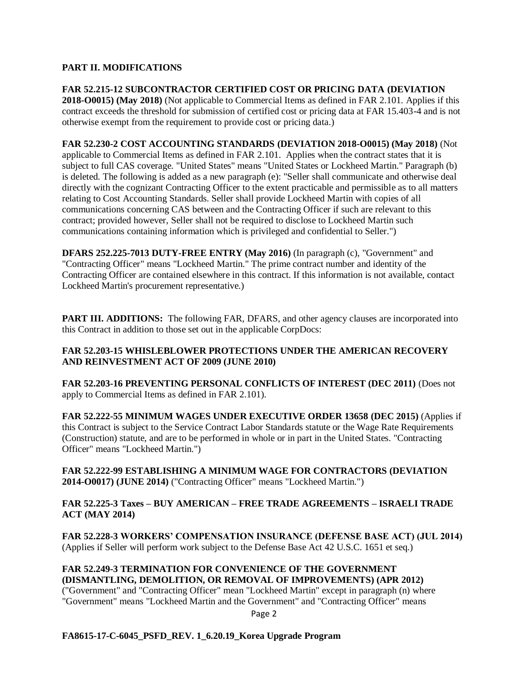## **PART II. MODIFICATIONS**

**FAR 52.215-12 SUBCONTRACTOR CERTIFIED COST OR PRICING DATA (DEVIATION 2018-O0015) (May 2018)** (Not applicable to Commercial Items as defined in FAR 2.101. Applies if this contract exceeds the threshold for submission of certified cost or pricing data at FAR 15.403-4 and is not otherwise exempt from the requirement to provide cost or pricing data.)

**FAR 52.230-2 COST ACCOUNTING STANDARDS (DEVIATION 2018-O0015) (May 2018)** (Not applicable to Commercial Items as defined in FAR 2.101. Applies when the contract states that it is subject to full CAS coverage. "United States" means "United States or Lockheed Martin." Paragraph (b) is deleted. The following is added as a new paragraph (e): "Seller shall communicate and otherwise deal directly with the cognizant Contracting Officer to the extent practicable and permissible as to all matters relating to Cost Accounting Standards. Seller shall provide Lockheed Martin with copies of all communications concerning CAS between and the Contracting Officer if such are relevant to this contract; provided however, Seller shall not be required to disclose to Lockheed Martin such communications containing information which is privileged and confidential to Seller.")

**DFARS 252.225-7013 DUTY-FREE ENTRY (May 2016)** (In paragraph (c), "Government" and "Contracting Officer" means "Lockheed Martin." The prime contract number and identity of the Contracting Officer are contained elsewhere in this contract. If this information is not available, contact Lockheed Martin's procurement representative.)

**PART III. ADDITIONS:** The following FAR, DFARS, and other agency clauses are incorporated into this Contract in addition to those set out in the applicable CorpDocs:

### **FAR 52.203-15 WHISLEBLOWER PROTECTIONS UNDER THE AMERICAN RECOVERY AND REINVESTMENT ACT OF 2009 (JUNE 2010)**

**FAR 52.203-16 PREVENTING PERSONAL CONFLICTS OF INTEREST (DEC 2011)** (Does not apply to Commercial Items as defined in FAR 2.101).

**FAR 52.222-55 MINIMUM WAGES UNDER EXECUTIVE ORDER 13658 (DEC 2015)** (Applies if this Contract is subject to the Service Contract Labor Standards statute or the Wage Rate Requirements (Construction) statute, and are to be performed in whole or in part in the United States. "Contracting Officer" means "Lockheed Martin.")

**FAR 52.222-99 ESTABLISHING A MINIMUM WAGE FOR CONTRACTORS (DEVIATION 2014-O0017) (JUNE 2014)** ("Contracting Officer" means "Lockheed Martin.")

### **FAR 52.225-3 Taxes – BUY AMERICAN – FREE TRADE AGREEMENTS – ISRAELI TRADE ACT (MAY 2014)**

**FAR 52.228-3 WORKERS' COMPENSATION INSURANCE (DEFENSE BASE ACT) (JUL 2014)** (Applies if Seller will perform work subject to the Defense Base Act 42 U.S.C. 1651 et seq.)

**FAR 52.249-3 TERMINATION FOR CONVENIENCE OF THE GOVERNMENT (DISMANTLING, DEMOLITION, OR REMOVAL OF IMPROVEMENTS) (APR 2012)** ("Government" and "Contracting Officer" mean "Lockheed Martin" except in paragraph (n) where "Government" means "Lockheed Martin and the Government" and "Contracting Officer" means

Page 2

### **FA8615-17-C-6045\_PSFD\_REV. 1\_6.20.19\_Korea Upgrade Program**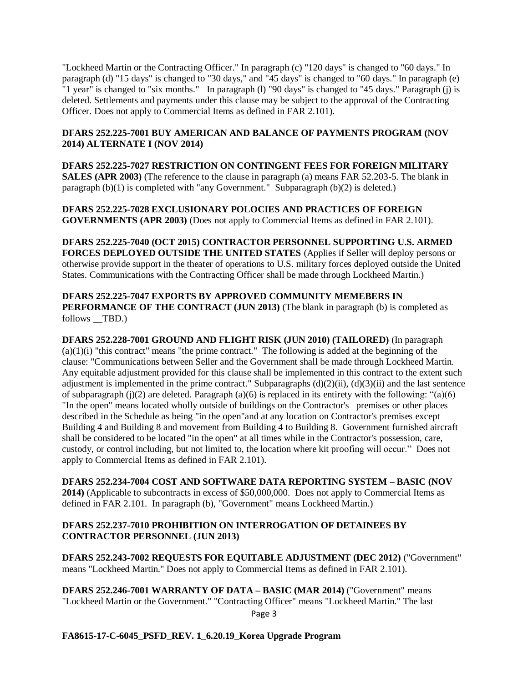"Lockheed Martin or the Contracting Officer." In paragraph (c) "120 days" is changed to "60 days." In paragraph (d) "15 days" is changed to "30 days," and "45 days" is changed to "60 days." In paragraph (e) "1 year" is changed to "six months." In paragraph (l) "90 days" is changed to "45 days." Paragraph (j) is deleted. Settlements and payments under this clause may be subject to the approval of the Contracting Officer. Does not apply to Commercial Items as defined in FAR 2.101).

## **DFARS 252.225-7001 BUY AMERICAN AND BALANCE OF PAYMENTS PROGRAM (NOV 2014) ALTERNATE I (NOV 2014)**

**DFARS 252.225-7027 RESTRICTION ON CONTINGENT FEES FOR FOREIGN MILITARY SALES (APR 2003)** (The reference to the clause in paragraph (a) means FAR 52.203-5. The blank in paragraph (b)(1) is completed with "any Government." Subparagraph (b)(2) is deleted.)

**DFARS 252.225-7028 EXCLUSIONARY POLOCIES AND PRACTICES OF FOREIGN GOVERNMENTS (APR 2003)** (Does not apply to Commercial Items as defined in FAR 2.101).

**DFARS 252.225-7040 (OCT 2015) CONTRACTOR PERSONNEL SUPPORTING U.S. ARMED FORCES DEPLOYED OUTSIDE THE UNITED STATES** (Applies if Seller will deploy persons or otherwise provide support in the theater of operations to U.S. military forces deployed outside the United States. Communications with the Contracting Officer shall be made through Lockheed Martin.)

**DFARS 252.225-7047 EXPORTS BY APPROVED COMMUNITY MEMEBERS IN PERFORMANCE OF THE CONTRACT (JUN 2013)** (The blank in paragraph (b) is completed as follows \_\_TBD.)

**DFARS 252.228-7001 GROUND AND FLIGHT RISK (JUN 2010) (TAILORED)** (In paragraph  $(a)(1)(i)$  "this contract" means "the prime contract." The following is added at the beginning of the clause: "Communications between Seller and the Government shall be made through Lockheed Martin. Any equitable adjustment provided for this clause shall be implemented in this contract to the extent such adjustment is implemented in the prime contract." Subparagraphs  $(d)(2)(ii)$ ,  $(d)(3)(ii)$  and the last sentence of subparagraph (j)(2) are deleted. Paragraph (a)(6) is replaced in its entirety with the following: "(a)(6) "In the open" means located wholly outside of buildings on the Contractor's premises or other places described in the Schedule as being "in the open"and at any location on Contractor's premises except Building 4 and Building 8 and movement from Building 4 to Building 8. Government furnished aircraft shall be considered to be located "in the open" at all times while in the Contractor's possession, care, custody, or control including, but not limited to, the location where kit proofing will occur." Does not apply to Commercial Items as defined in FAR 2.101).

**DFARS 252.234-7004 COST AND SOFTWARE DATA REPORTING SYSTEM – BASIC (NOV 2014)** (Applicable to subcontracts in excess of \$50,000,000. Does not apply to Commercial Items as defined in FAR 2.101. In paragraph (b), "Government" means Lockheed Martin.)

### **DFARS 252.237-7010 PROHIBITION ON INTERROGATION OF DETAINEES BY CONTRACTOR PERSONNEL (JUN 2013)**

**DFARS 252.243-7002 REQUESTS FOR EQUITABLE ADJUSTMENT (DEC 2012)** ("Government" means "Lockheed Martin." Does not apply to Commercial Items as defined in FAR 2.101).

Page 3 **DFARS 252.246-7001 WARRANTY OF DATA – BASIC (MAR 2014)** ("Government" means "Lockheed Martin or the Government." "Contracting Officer" means "Lockheed Martin." The last

**FA8615-17-C-6045\_PSFD\_REV. 1\_6.20.19\_Korea Upgrade Program**